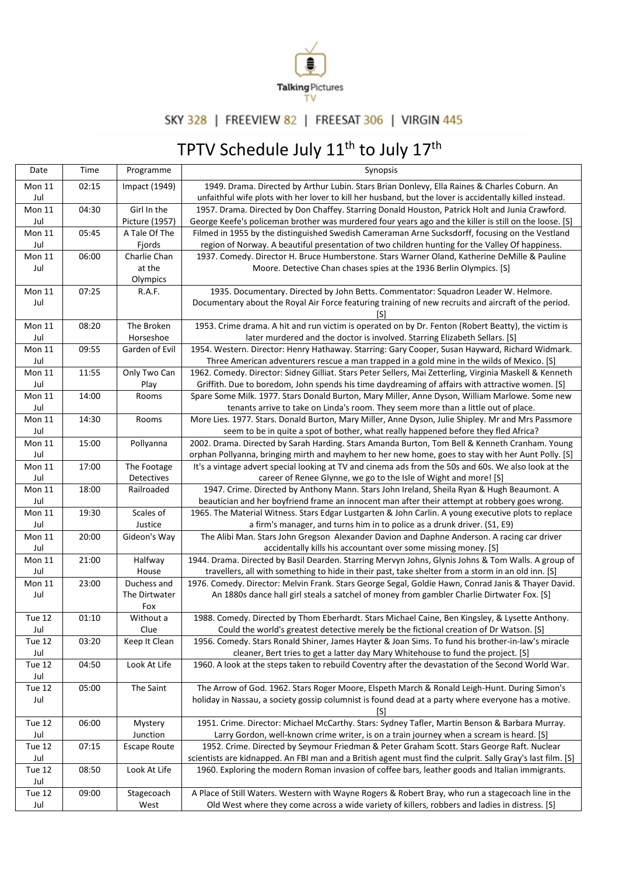

## SKY 328 | FREEVIEW 82 | FREESAT 306 | VIRGIN 445

## TPTV Schedule July 11<sup>th</sup> to July 17<sup>th</sup>

| Date          | Time  | Programme           | Synopsis                                                                                                    |
|---------------|-------|---------------------|-------------------------------------------------------------------------------------------------------------|
| <b>Mon 11</b> | 02:15 | Impact (1949)       | 1949. Drama. Directed by Arthur Lubin. Stars Brian Donlevy, Ella Raines & Charles Coburn. An                |
| Jul           |       |                     | unfaithful wife plots with her lover to kill her husband, but the lover is accidentally killed instead.     |
| <b>Mon 11</b> | 04:30 | Girl In the         | 1957. Drama. Directed by Don Chaffey. Starring Donald Houston, Patrick Holt and Junia Crawford.             |
| Jul           |       | Picture (1957)      | George Keefe's policeman brother was murdered four years ago and the killer is still on the loose. [S]      |
| <b>Mon 11</b> | 05:45 | A Tale Of The       | Filmed in 1955 by the distinguished Swedish Cameraman Arne Sucksdorff, focusing on the Vestland             |
| Jul           |       | Fjords              | region of Norway. A beautiful presentation of two children hunting for the Valley Of happiness.             |
| Mon 11        | 06:00 | Charlie Chan        | 1937. Comedy. Director H. Bruce Humberstone. Stars Warner Oland, Katherine DeMille & Pauline                |
| Jul           |       | at the              | Moore. Detective Chan chases spies at the 1936 Berlin Olympics. [S]                                         |
|               |       | Olympics            |                                                                                                             |
| Mon 11        | 07:25 | R.A.F.              | 1935. Documentary. Directed by John Betts. Commentator: Squadron Leader W. Helmore.                         |
| Jul           |       |                     | Documentary about the Royal Air Force featuring training of new recruits and aircraft of the period.        |
|               |       |                     | [S]                                                                                                         |
| <b>Mon 11</b> | 08:20 | The Broken          | 1953. Crime drama. A hit and run victim is operated on by Dr. Fenton (Robert Beatty), the victim is         |
| Jul           |       | Horseshoe           | later murdered and the doctor is involved. Starring Elizabeth Sellars. [S]                                  |
| <b>Mon 11</b> | 09:55 | Garden of Evil      | 1954. Western. Director: Henry Hathaway. Starring: Gary Cooper, Susan Hayward, Richard Widmark.             |
| Jul           |       |                     | Three American adventurers rescue a man trapped in a gold mine in the wilds of Mexico. [S]                  |
| <b>Mon 11</b> | 11:55 | Only Two Can        | 1962. Comedy. Director: Sidney Gilliat. Stars Peter Sellers, Mai Zetterling, Virginia Maskell & Kenneth     |
| Jul           |       | Play                | Griffith. Due to boredom, John spends his time daydreaming of affairs with attractive women. [S]            |
| <b>Mon 11</b> | 14:00 | Rooms               | Spare Some Milk. 1977. Stars Donald Burton, Mary Miller, Anne Dyson, William Marlowe. Some new              |
| Jul           |       |                     | tenants arrive to take on Linda's room. They seem more than a little out of place.                          |
| <b>Mon 11</b> | 14:30 | Rooms               | More Lies. 1977. Stars. Donald Burton, Mary Miller, Anne Dyson, Julie Shipley. Mr and Mrs Passmore          |
| Jul           |       |                     | seem to be in quite a spot of bother, what really happened before they fled Africa?                         |
| <b>Mon 11</b> | 15:00 | Pollyanna           | 2002. Drama. Directed by Sarah Harding. Stars Amanda Burton, Tom Bell & Kenneth Cranham. Young              |
| Jul           |       |                     | orphan Pollyanna, bringing mirth and mayhem to her new home, goes to stay with her Aunt Polly. [S]          |
| <b>Mon 11</b> | 17:00 | The Footage         | It's a vintage advert special looking at TV and cinema ads from the 50s and 60s. We also look at the        |
| Jul           |       | Detectives          | career of Renee Glynne, we go to the Isle of Wight and more! [S]                                            |
| <b>Mon 11</b> | 18:00 | Railroaded          | 1947. Crime. Directed by Anthony Mann. Stars John Ireland, Sheila Ryan & Hugh Beaumont. A                   |
| Jul           |       |                     | beautician and her boyfriend frame an innocent man after their attempt at robbery goes wrong.               |
| <b>Mon 11</b> | 19:30 | Scales of           | 1965. The Material Witness. Stars Edgar Lustgarten & John Carlin. A young executive plots to replace        |
| Jul           |       | Justice             | a firm's manager, and turns him in to police as a drunk driver. (S1, E9)                                    |
| <b>Mon 11</b> | 20:00 | Gideon's Way        | The Alibi Man. Stars John Gregson Alexander Davion and Daphne Anderson. A racing car driver                 |
| Jul           |       |                     | accidentally kills his accountant over some missing money. [S]                                              |
| <b>Mon 11</b> | 21:00 | Halfway             | 1944. Drama. Directed by Basil Dearden. Starring Mervyn Johns, Glynis Johns & Tom Walls. A group of         |
| Jul           |       | House               | travellers, all with something to hide in their past, take shelter from a storm in an old inn. [S]          |
| Mon 11        | 23:00 | Duchess and         | 1976. Comedy. Director: Melvin Frank. Stars George Segal, Goldie Hawn, Conrad Janis & Thayer David.         |
| Jul           |       | The Dirtwater       | An 1880s dance hall girl steals a satchel of money from gambler Charlie Dirtwater Fox. [S]                  |
|               |       | Fox                 |                                                                                                             |
| Tue 12        | 01:10 | Without a           | 1988. Comedy. Directed by Thom Eberhardt. Stars Michael Caine, Ben Kingsley, & Lysette Anthony.             |
| Jul           |       | Clue                | Could the world's greatest detective merely be the fictional creation of Dr Watson. [S]                     |
| Tue 12        | 03:20 | Keep It Clean       | 1956. Comedy. Stars Ronald Shiner, James Hayter & Joan Sims. To fund his brother-in-law's miracle           |
| Jul           |       |                     | cleaner, Bert tries to get a latter day Mary Whitehouse to fund the project. [S]                            |
| Tue 12        | 04:50 | Look At Life        | 1960. A look at the steps taken to rebuild Coventry after the devastation of the Second World War.          |
| Jul           |       |                     |                                                                                                             |
| Tue 12        | 05:00 | The Saint           | The Arrow of God. 1962. Stars Roger Moore, Elspeth March & Ronald Leigh-Hunt. During Simon's                |
| Jul           |       |                     | holiday in Nassau, a society gossip columnist is found dead at a party where everyone has a motive.         |
|               |       |                     | [S]                                                                                                         |
| Tue 12        | 06:00 | Mystery             | 1951. Crime. Director: Michael McCarthy. Stars: Sydney Tafler, Martin Benson & Barbara Murray.              |
| Jul           |       | Junction            | Larry Gordon, well-known crime writer, is on a train journey when a scream is heard. [S]                    |
| Tue 12        | 07:15 | <b>Escape Route</b> | 1952. Crime. Directed by Seymour Friedman & Peter Graham Scott. Stars George Raft. Nuclear                  |
| Jul           |       |                     | scientists are kidnapped. An FBI man and a British agent must find the culprit. Sally Gray's last film. [S] |
| Tue 12        | 08:50 | Look At Life        | 1960. Exploring the modern Roman invasion of coffee bars, leather goods and Italian immigrants.             |
| Jul           |       |                     |                                                                                                             |
| Tue 12        | 09:00 | Stagecoach          | A Place of Still Waters. Western with Wayne Rogers & Robert Bray, who run a stagecoach line in the          |
| Jul           |       | West                | Old West where they come across a wide variety of killers, robbers and ladies in distress. [S]              |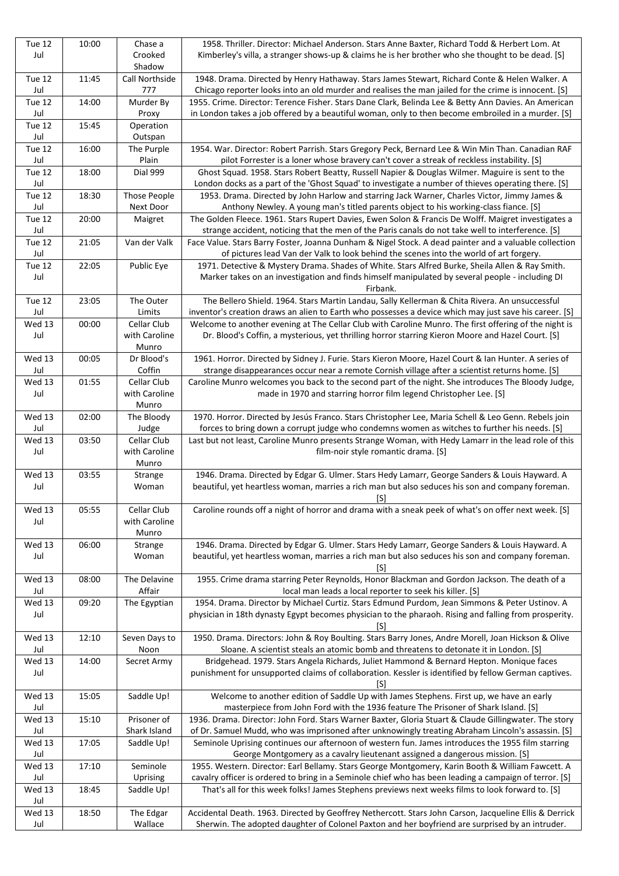|               | 10:00 | Chase a         | 1958. Thriller. Director: Michael Anderson. Stars Anne Baxter, Richard Todd & Herbert Lom. At          |
|---------------|-------|-----------------|--------------------------------------------------------------------------------------------------------|
| Jul           |       | Crooked         | Kimberley's villa, a stranger shows-up & claims he is her brother who she thought to be dead. [S]      |
|               |       | Shadow          |                                                                                                        |
| Tue 12        | 11:45 | Call Northside  | 1948. Drama. Directed by Henry Hathaway. Stars James Stewart, Richard Conte & Helen Walker. A          |
| Jul           |       | 777             | Chicago reporter looks into an old murder and realises the man jailed for the crime is innocent. [S]   |
| Tue 12        | 14:00 | Murder By       | 1955. Crime. Director: Terence Fisher. Stars Dane Clark, Belinda Lee & Betty Ann Davies. An American   |
| Jul           |       |                 |                                                                                                        |
|               |       | Proxy           | in London takes a job offered by a beautiful woman, only to then become embroiled in a murder. [S]     |
| Tue 12        | 15:45 | Operation       |                                                                                                        |
| Jul           |       | Outspan         |                                                                                                        |
| Tue 12        | 16:00 | The Purple      | 1954. War. Director: Robert Parrish. Stars Gregory Peck, Bernard Lee & Win Min Than. Canadian RAF      |
| Jul           |       | Plain           | pilot Forrester is a loner whose bravery can't cover a streak of reckless instability. [S]             |
| <b>Tue 12</b> | 18:00 | <b>Dial 999</b> | Ghost Squad. 1958. Stars Robert Beatty, Russell Napier & Douglas Wilmer. Maguire is sent to the        |
| Jul           |       |                 | London docks as a part of the 'Ghost Squad' to investigate a number of thieves operating there. [S]    |
|               |       |                 |                                                                                                        |
| Tue 12        | 18:30 | Those People    | 1953. Drama. Directed by John Harlow and starring Jack Warner, Charles Victor, Jimmy James &           |
| Jul           |       | Next Door       | Anthony Newley. A young man's titled parents object to his working-class fiance. [S]                   |
| Tue 12        | 20:00 | Maigret         | The Golden Fleece. 1961. Stars Rupert Davies, Ewen Solon & Francis De Wolff. Maigret investigates a    |
| Jul           |       |                 | strange accident, noticing that the men of the Paris canals do not take well to interference. [S]      |
| Tue 12        | 21:05 | Van der Valk    | Face Value. Stars Barry Foster, Joanna Dunham & Nigel Stock. A dead painter and a valuable collection  |
| Jul           |       |                 | of pictures lead Van der Valk to look behind the scenes into the world of art forgery.                 |
| Tue 12        | 22:05 | Public Eye      | 1971. Detective & Mystery Drama. Shades of White. Stars Alfred Burke, Sheila Allen & Ray Smith.        |
|               |       |                 |                                                                                                        |
| Jul           |       |                 | Marker takes on an investigation and finds himself manipulated by several people - including DI        |
|               |       |                 | Firbank.                                                                                               |
| Tue 12        | 23:05 | The Outer       | The Bellero Shield. 1964. Stars Martin Landau, Sally Kellerman & Chita Rivera. An unsuccessful         |
| Jul           |       | Limits          | inventor's creation draws an alien to Earth who possesses a device which may just save his career. [S] |
| Wed 13        | 00:00 | Cellar Club     | Welcome to another evening at The Cellar Club with Caroline Munro. The first offering of the night is  |
| Jul           |       | with Caroline   | Dr. Blood's Coffin, a mysterious, yet thrilling horror starring Kieron Moore and Hazel Court. [S]      |
|               |       |                 |                                                                                                        |
|               |       | Munro           |                                                                                                        |
| Wed 13        | 00:05 | Dr Blood's      | 1961. Horror. Directed by Sidney J. Furie. Stars Kieron Moore, Hazel Court & Ian Hunter. A series of   |
| Jul           |       | Coffin          | strange disappearances occur near a remote Cornish village after a scientist returns home. [S]         |
| Wed 13        | 01:55 | Cellar Club     | Caroline Munro welcomes you back to the second part of the night. She introduces The Bloody Judge,     |
| Jul           |       | with Caroline   | made in 1970 and starring horror film legend Christopher Lee. [S]                                      |
|               |       | Munro           |                                                                                                        |
| Wed 13        | 02:00 | The Bloody      | 1970. Horror. Directed by Jesús Franco. Stars Christopher Lee, Maria Schell & Leo Genn. Rebels join    |
| Jul           |       | Judge           | forces to bring down a corrupt judge who condemns women as witches to further his needs. [S]           |
|               |       |                 |                                                                                                        |
| Wed 13        | 03:50 | Cellar Club     | Last but not least, Caroline Munro presents Strange Woman, with Hedy Lamarr in the lead role of this   |
| Jul           |       | with Caroline   | film-noir style romantic drama. [S]                                                                    |
|               |       | Munro           |                                                                                                        |
| Wed 13        | 03:55 | Strange         | 1946. Drama. Directed by Edgar G. Ulmer. Stars Hedy Lamarr, George Sanders & Louis Hayward. A          |
| Jul           |       | Woman           | beautiful, yet heartless woman, marries a rich man but also seduces his son and company foreman.       |
|               |       |                 | [S]                                                                                                    |
| Wed 13        |       |                 |                                                                                                        |
|               |       |                 |                                                                                                        |
|               | 05:55 | Cellar Club     | Caroline rounds off a night of horror and drama with a sneak peek of what's on offer next week. [S]    |
| Jul           |       | with Caroline   |                                                                                                        |
|               |       | Munro           |                                                                                                        |
| Wed 13        | 06:00 | Strange         | 1946. Drama. Directed by Edgar G. Ulmer. Stars Hedy Lamarr, George Sanders & Louis Hayward. A          |
| Jul           |       | Woman           | beautiful, yet heartless woman, marries a rich man but also seduces his son and company foreman.       |
|               |       |                 |                                                                                                        |
|               |       |                 | [S]                                                                                                    |
| Wed 13        | 08:00 | The Delavine    | 1955. Crime drama starring Peter Reynolds, Honor Blackman and Gordon Jackson. The death of a           |
| Jul           |       | Affair          | local man leads a local reporter to seek his killer. [S]                                               |
| Wed 13        | 09:20 | The Egyptian    | 1954. Drama. Director by Michael Curtiz. Stars Edmund Purdom, Jean Simmons & Peter Ustinov. A          |
| Jul           |       |                 | physician in 18th dynasty Egypt becomes physician to the pharaoh. Rising and falling from prosperity.  |
|               |       |                 | [S]                                                                                                    |
| Wed 13        | 12:10 | Seven Days to   | 1950. Drama. Directors: John & Roy Boulting. Stars Barry Jones, Andre Morell, Joan Hickson & Olive     |
| Jul           |       | Noon            |                                                                                                        |
|               |       |                 | Sloane. A scientist steals an atomic bomb and threatens to detonate it in London. [S]                  |
| Wed 13        | 14:00 | Secret Army     | Bridgehead. 1979. Stars Angela Richards, Juliet Hammond & Bernard Hepton. Monique faces                |
| Jul           |       |                 | punishment for unsupported claims of collaboration. Kessler is identified by fellow German captives.   |
|               |       |                 | [S]                                                                                                    |
| Wed 13        | 15:05 | Saddle Up!      | Welcome to another edition of Saddle Up with James Stephens. First up, we have an early                |
| Jul           |       |                 | masterpiece from John Ford with the 1936 feature The Prisoner of Shark Island. [S]                     |
| Wed 13        | 15:10 | Prisoner of     | 1936. Drama. Director: John Ford. Stars Warner Baxter, Gloria Stuart & Claude Gillingwater. The story  |
| Jul           |       | Shark Island    | of Dr. Samuel Mudd, who was imprisoned after unknowingly treating Abraham Lincoln's assassin. [S]      |
| Wed 13        | 17:05 |                 |                                                                                                        |
|               |       | Saddle Up!      | Seminole Uprising continues our afternoon of western fun. James introduces the 1955 film starring      |
| Jul           |       |                 | George Montgomery as a cavalry lieutenant assigned a dangerous mission. [S]                            |
| Wed 13        | 17:10 | Seminole        | 1955. Western. Director: Earl Bellamy. Stars George Montgomery, Karin Booth & William Fawcett. A       |
| Jul           |       | Uprising        | cavalry officer is ordered to bring in a Seminole chief who has been leading a campaign of terror. [S] |
| Wed 13        | 18:45 | Saddle Up!      | That's all for this week folks! James Stephens previews next weeks films to look forward to. [S]       |
| Jul           |       |                 |                                                                                                        |
| Wed 13        | 18:50 | The Edgar       | Accidental Death. 1963. Directed by Geoffrey Nethercott. Stars John Carson, Jacqueline Ellis & Derrick |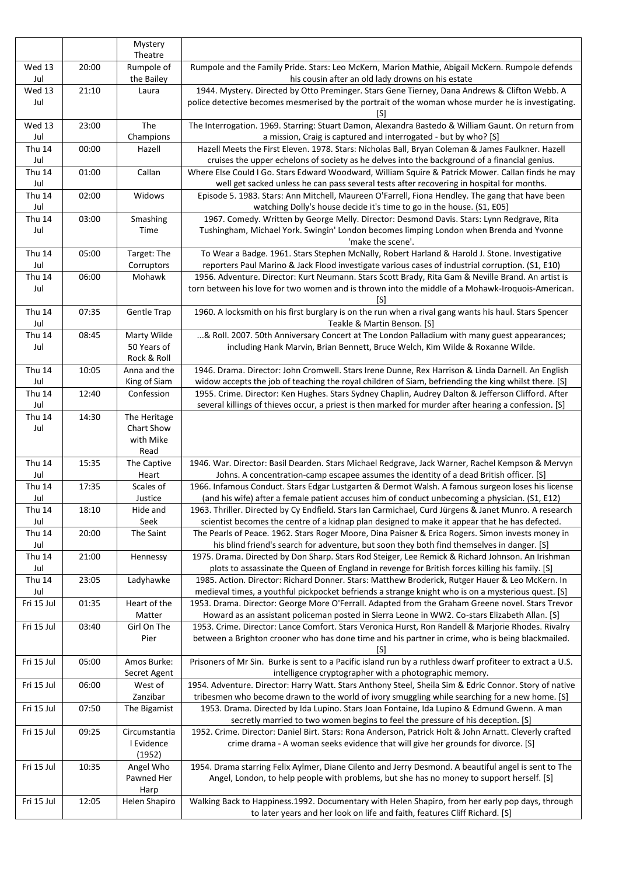|                      |       | Mystery                         |                                                                                                                                                                                                                                                                               |
|----------------------|-------|---------------------------------|-------------------------------------------------------------------------------------------------------------------------------------------------------------------------------------------------------------------------------------------------------------------------------|
|                      |       | Theatre                         |                                                                                                                                                                                                                                                                               |
| Wed 13<br>Jul        | 20:00 | Rumpole of<br>the Bailey        | Rumpole and the Family Pride. Stars: Leo McKern, Marion Mathie, Abigail McKern. Rumpole defends<br>his cousin after an old lady drowns on his estate                                                                                                                          |
| Wed 13               | 21:10 | Laura                           | 1944. Mystery. Directed by Otto Preminger. Stars Gene Tierney, Dana Andrews & Clifton Webb. A                                                                                                                                                                                 |
| Jul                  |       |                                 | police detective becomes mesmerised by the portrait of the woman whose murder he is investigating.<br>[S]                                                                                                                                                                     |
| Wed 13<br>Jul        | 23:00 | The<br>Champions                | The Interrogation. 1969. Starring: Stuart Damon, Alexandra Bastedo & William Gaunt. On return from<br>a mission, Craig is captured and interrogated - but by who? [S]                                                                                                         |
| <b>Thu 14</b><br>Jul | 00:00 | Hazell                          | Hazell Meets the First Eleven. 1978. Stars: Nicholas Ball, Bryan Coleman & James Faulkner. Hazell<br>cruises the upper echelons of society as he delves into the background of a financial genius.                                                                            |
| <b>Thu 14</b>        | 01:00 | Callan                          | Where Else Could I Go. Stars Edward Woodward, William Squire & Patrick Mower. Callan finds he may                                                                                                                                                                             |
| Jul<br><b>Thu 14</b> | 02:00 | Widows                          | well get sacked unless he can pass several tests after recovering in hospital for months.<br>Episode 5. 1983. Stars: Ann Mitchell, Maureen O'Farrell, Fiona Hendley. The gang that have been                                                                                  |
| Jul<br><b>Thu 14</b> | 03:00 | Smashing                        | watching Dolly's house decide it's time to go in the house. (S1, E05)<br>1967. Comedy. Written by George Melly. Director: Desmond Davis. Stars: Lynn Redgrave, Rita                                                                                                           |
| Jul                  |       | Time                            | Tushingham, Michael York. Swingin' London becomes limping London when Brenda and Yvonne<br>'make the scene'.                                                                                                                                                                  |
| <b>Thu 14</b><br>Jul | 05:00 | Target: The<br>Corruptors       | To Wear a Badge. 1961. Stars Stephen McNally, Robert Harland & Harold J. Stone. Investigative<br>reporters Paul Marino & Jack Flood investigate various cases of industrial corruption. (S1, E10)                                                                             |
| <b>Thu 14</b>        | 06:00 | Mohawk                          | 1956. Adventure. Director: Kurt Neumann. Stars Scott Brady, Rita Gam & Neville Brand. An artist is                                                                                                                                                                            |
| Jul                  |       |                                 | torn between his love for two women and is thrown into the middle of a Mohawk-Iroquois-American.<br>[S]                                                                                                                                                                       |
| <b>Thu 14</b><br>Jul | 07:35 | <b>Gentle Trap</b>              | 1960. A locksmith on his first burglary is on the run when a rival gang wants his haul. Stars Spencer<br>Teakle & Martin Benson. [S]                                                                                                                                          |
| <b>Thu 14</b>        | 08:45 | Marty Wilde                     | & Roll. 2007. 50th Anniversary Concert at The London Palladium with many guest appearances;                                                                                                                                                                                   |
| Jul                  |       | 50 Years of<br>Rock & Roll      | including Hank Marvin, Brian Bennett, Bruce Welch, Kim Wilde & Roxanne Wilde.                                                                                                                                                                                                 |
| <b>Thu 14</b><br>Jul | 10:05 | Anna and the<br>King of Siam    | 1946. Drama. Director: John Cromwell. Stars Irene Dunne, Rex Harrison & Linda Darnell. An English<br>widow accepts the job of teaching the royal children of Siam, befriending the king whilst there. [S]                                                                     |
| <b>Thu 14</b><br>Jul | 12:40 | Confession                      | 1955. Crime. Director: Ken Hughes. Stars Sydney Chaplin, Audrey Dalton & Jefferson Clifford. After<br>several killings of thieves occur, a priest is then marked for murder after hearing a confession. [S]                                                                   |
| <b>Thu 14</b>        | 14:30 | The Heritage                    |                                                                                                                                                                                                                                                                               |
| Jul                  |       | Chart Show                      |                                                                                                                                                                                                                                                                               |
|                      |       | with Mike<br>Read               |                                                                                                                                                                                                                                                                               |
| <b>Thu 14</b><br>Jul | 15:35 | The Captive<br>Heart            | 1946. War. Director: Basil Dearden. Stars Michael Redgrave, Jack Warner, Rachel Kempson & Mervyn<br>Johns. A concentration-camp escapee assumes the identity of a dead British officer. [S]                                                                                   |
| <b>Thu 14</b>        | 17:35 | Scales of                       | 1966. Infamous Conduct. Stars Edgar Lustgarten & Dermot Walsh. A famous surgeon loses his license                                                                                                                                                                             |
| Jul                  |       | Justice                         | (and his wife) after a female patient accuses him of conduct unbecoming a physician. (S1, E12)                                                                                                                                                                                |
| Thu 14<br>Jul        | 18:10 | Hide and<br>Seek                | 1963. Thriller. Directed by Cy Endfield. Stars Ian Carmichael, Curd Jürgens & Janet Munro. A research<br>scientist becomes the centre of a kidnap plan designed to make it appear that he has defected.                                                                       |
| <b>Thu 14</b><br>Jul | 20:00 | The Saint                       | The Pearls of Peace. 1962. Stars Roger Moore, Dina Paisner & Erica Rogers. Simon invests money in<br>his blind friend's search for adventure, but soon they both find themselves in danger. [S]                                                                               |
| <b>Thu 14</b>        | 21:00 | Hennessy                        | 1975. Drama. Directed by Don Sharp. Stars Rod Steiger, Lee Remick & Richard Johnson. An Irishman                                                                                                                                                                              |
| Jul                  |       |                                 | plots to assassinate the Queen of England in revenge for British forces killing his family. [S]                                                                                                                                                                               |
| <b>Thu 14</b><br>Jul | 23:05 | Ladyhawke                       | 1985. Action. Director: Richard Donner. Stars: Matthew Broderick, Rutger Hauer & Leo McKern. In<br>medieval times, a youthful pickpocket befriends a strange knight who is on a mysterious quest. [S]                                                                         |
| Fri 15 Jul           | 01:35 | Heart of the<br>Matter          | 1953. Drama. Director: George More O'Ferrall. Adapted from the Graham Greene novel. Stars Trevor<br>Howard as an assistant policeman posted in Sierra Leone in WW2. Co-stars Elizabeth Allan. [S]                                                                             |
| Fri 15 Jul           | 03:40 | Girl On The                     | 1953. Crime. Director: Lance Comfort. Stars Veronica Hurst, Ron Randell & Marjorie Rhodes. Rivalry                                                                                                                                                                            |
|                      |       | Pier                            | between a Brighton crooner who has done time and his partner in crime, who is being blackmailed.<br>[S]                                                                                                                                                                       |
| Fri 15 Jul           | 05:00 | Amos Burke:<br>Secret Agent     | Prisoners of Mr Sin. Burke is sent to a Pacific island run by a ruthless dwarf profiteer to extract a U.S.<br>intelligence cryptographer with a photographic memory.                                                                                                          |
| Fri 15 Jul           | 06:00 | West of<br>Zanzibar             | 1954. Adventure. Director: Harry Watt. Stars Anthony Steel, Sheila Sim & Edric Connor. Story of native<br>tribesmen who become drawn to the world of ivory smuggling while searching for a new home. [S]                                                                      |
| Fri 15 Jul           | 07:50 | The Bigamist                    | 1953. Drama. Directed by Ida Lupino. Stars Joan Fontaine, Ida Lupino & Edmund Gwenn. A man                                                                                                                                                                                    |
| Fri 15 Jul           | 09:25 | Circumstantia<br>I Evidence     | secretly married to two women begins to feel the pressure of his deception. [S]<br>1952. Crime. Director: Daniel Birt. Stars: Rona Anderson, Patrick Holt & John Arnatt. Cleverly crafted<br>crime drama - A woman seeks evidence that will give her grounds for divorce. [S] |
|                      |       | (1952)                          |                                                                                                                                                                                                                                                                               |
| Fri 15 Jul           | 10:35 | Angel Who<br>Pawned Her<br>Harp | 1954. Drama starring Felix Aylmer, Diane Cilento and Jerry Desmond. A beautiful angel is sent to The<br>Angel, London, to help people with problems, but she has no money to support herself. [S]                                                                             |
| Fri 15 Jul           | 12:05 | Helen Shapiro                   | Walking Back to Happiness.1992. Documentary with Helen Shapiro, from her early pop days, through<br>to later years and her look on life and faith, features Cliff Richard. [S]                                                                                                |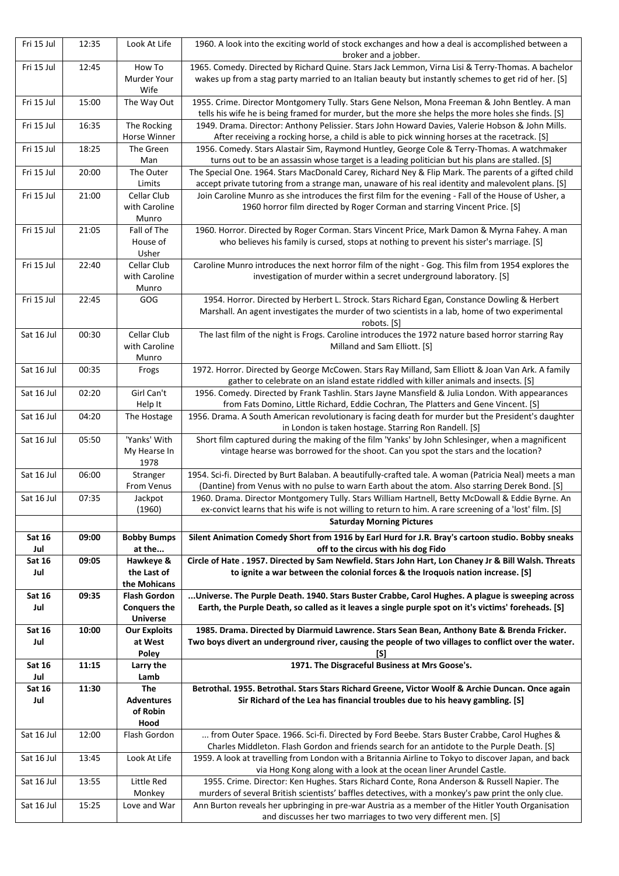| Fri 15 Jul           | 12:35 | Look At Life                        | 1960. A look into the exciting world of stock exchanges and how a deal is accomplished between a                                                                                                          |
|----------------------|-------|-------------------------------------|-----------------------------------------------------------------------------------------------------------------------------------------------------------------------------------------------------------|
| Fri 15 Jul           | 12:45 | How To                              | broker and a jobber.<br>1965. Comedy. Directed by Richard Quine. Stars Jack Lemmon, Virna Lisi & Terry-Thomas. A bachelor                                                                                 |
|                      |       | Murder Your                         | wakes up from a stag party married to an Italian beauty but instantly schemes to get rid of her. [S]                                                                                                      |
|                      |       | Wife                                |                                                                                                                                                                                                           |
| Fri 15 Jul           | 15:00 | The Way Out                         | 1955. Crime. Director Montgomery Tully. Stars Gene Nelson, Mona Freeman & John Bentley. A man<br>tells his wife he is being framed for murder, but the more she helps the more holes she finds. [S]       |
| Fri 15 Jul           | 16:35 | The Rocking                         | 1949. Drama. Director: Anthony Pelissier. Stars John Howard Davies, Valerie Hobson & John Mills.                                                                                                          |
|                      |       | Horse Winner                        | After receiving a rocking horse, a child is able to pick winning horses at the racetrack. [S]                                                                                                             |
| Fri 15 Jul           | 18:25 | The Green                           | 1956. Comedy. Stars Alastair Sim, Raymond Huntley, George Cole & Terry-Thomas. A watchmaker                                                                                                               |
| Fri 15 Jul           | 20:00 | Man<br>The Outer                    | turns out to be an assassin whose target is a leading politician but his plans are stalled. [S]<br>The Special One. 1964. Stars MacDonald Carey, Richard Ney & Flip Mark. The parents of a gifted child   |
|                      |       | Limits                              | accept private tutoring from a strange man, unaware of his real identity and malevolent plans. [S]                                                                                                        |
| Fri 15 Jul           | 21:00 | Cellar Club                         | Join Caroline Munro as she introduces the first film for the evening - Fall of the House of Usher, a                                                                                                      |
|                      |       | with Caroline<br>Munro              | 1960 horror film directed by Roger Corman and starring Vincent Price. [S]                                                                                                                                 |
| Fri 15 Jul           | 21:05 | Fall of The                         | 1960. Horror. Directed by Roger Corman. Stars Vincent Price, Mark Damon & Myrna Fahey. A man                                                                                                              |
|                      |       | House of                            | who believes his family is cursed, stops at nothing to prevent his sister's marriage. [S]                                                                                                                 |
| Fri 15 Jul           | 22:40 | Usher<br>Cellar Club                | Caroline Munro introduces the next horror film of the night - Gog. This film from 1954 explores the                                                                                                       |
|                      |       | with Caroline                       | investigation of murder within a secret underground laboratory. [S]                                                                                                                                       |
|                      |       | Munro                               |                                                                                                                                                                                                           |
| Fri 15 Jul           | 22:45 | GOG                                 | 1954. Horror. Directed by Herbert L. Strock. Stars Richard Egan, Constance Dowling & Herbert                                                                                                              |
|                      |       |                                     | Marshall. An agent investigates the murder of two scientists in a lab, home of two experimental<br>robots. [S]                                                                                            |
| Sat 16 Jul           | 00:30 | Cellar Club                         | The last film of the night is Frogs. Caroline introduces the 1972 nature based horror starring Ray                                                                                                        |
|                      |       | with Caroline                       | Milland and Sam Elliott. [S]                                                                                                                                                                              |
| Sat 16 Jul           | 00:35 | Munro<br>Frogs                      | 1972. Horror. Directed by George McCowen. Stars Ray Milland, Sam Elliott & Joan Van Ark. A family                                                                                                         |
|                      |       |                                     | gather to celebrate on an island estate riddled with killer animals and insects. [S]                                                                                                                      |
| Sat 16 Jul           | 02:20 | Girl Can't<br>Help It               | 1956. Comedy. Directed by Frank Tashlin. Stars Jayne Mansfield & Julia London. With appearances<br>from Fats Domino, Little Richard, Eddie Cochran, The Platters and Gene Vincent. [S]                    |
| Sat 16 Jul           | 04:20 | The Hostage                         | 1956. Drama. A South American revolutionary is facing death for murder but the President's daughter                                                                                                       |
|                      |       |                                     | in London is taken hostage. Starring Ron Randell. [S]                                                                                                                                                     |
| Sat 16 Jul           | 05:50 | 'Yanks' With<br>My Hearse In        | Short film captured during the making of the film 'Yanks' by John Schlesinger, when a magnificent<br>vintage hearse was borrowed for the shoot. Can you spot the stars and the location?                  |
|                      |       | 1978                                |                                                                                                                                                                                                           |
|                      |       |                                     |                                                                                                                                                                                                           |
| Sat 16 Jul           | 06:00 | Stranger<br>From Venus              | 1954. Sci-fi. Directed by Burt Balaban. A beautifully-crafted tale. A woman (Patricia Neal) meets a man<br>(Dantine) from Venus with no pulse to warn Earth about the atom. Also starring Derek Bond. [S] |
| Sat 16 Jul           | 07:35 | Jackpot                             | 1960. Drama. Director Montgomery Tully. Stars William Hartnell, Betty McDowall & Eddie Byrne. An                                                                                                          |
|                      |       | (1960)                              | ex-convict learns that his wife is not willing to return to him. A rare screening of a 'lost' film. [S]                                                                                                   |
|                      |       |                                     | <b>Saturday Morning Pictures</b>                                                                                                                                                                          |
| <b>Sat 16</b><br>Jul | 09:00 | <b>Bobby Bumps</b><br>at the        | Silent Animation Comedy Short from 1916 by Earl Hurd for J.R. Bray's cartoon studio. Bobby sneaks<br>off to the circus with his dog Fido                                                                  |
| <b>Sat 16</b>        | 09:05 | Hawkeye &                           | Circle of Hate . 1957. Directed by Sam Newfield. Stars John Hart, Lon Chaney Jr & Bill Walsh. Threats                                                                                                     |
| Jul                  |       | the Last of                         | to ignite a war between the colonial forces & the Iroquois nation increase. [S]                                                                                                                           |
| <b>Sat 16</b>        | 09:35 | the Mohicans<br><b>Flash Gordon</b> | Universe. The Purple Death. 1940. Stars Buster Crabbe, Carol Hughes. A plague is sweeping across                                                                                                          |
| Jul                  |       | <b>Conquers the</b>                 | Earth, the Purple Death, so called as it leaves a single purple spot on it's victims' foreheads. [S]                                                                                                      |
| <b>Sat 16</b>        | 10:00 | <b>Universe</b>                     |                                                                                                                                                                                                           |
| Jul                  |       | <b>Our Exploits</b><br>at West      | 1985. Drama. Directed by Diarmuid Lawrence. Stars Sean Bean, Anthony Bate & Brenda Fricker.<br>Two boys divert an underground river, causing the people of two villages to conflict over the water.       |
|                      |       | Poley                               | [S]                                                                                                                                                                                                       |
| <b>Sat 16</b><br>Jul | 11:15 | Larry the<br>Lamb                   | 1971. The Disgraceful Business at Mrs Goose's.                                                                                                                                                            |
| <b>Sat 16</b>        | 11:30 | <b>The</b>                          | Betrothal. 1955. Betrothal. Stars Stars Richard Greene, Victor Woolf & Archie Duncan. Once again                                                                                                          |
| Jul                  |       | <b>Adventures</b>                   | Sir Richard of the Lea has financial troubles due to his heavy gambling. [S]                                                                                                                              |
|                      |       | of Robin<br>Hood                    |                                                                                                                                                                                                           |
| Sat 16 Jul           | 12:00 | Flash Gordon                        | from Outer Space. 1966. Sci-fi. Directed by Ford Beebe. Stars Buster Crabbe, Carol Hughes &                                                                                                               |
|                      |       |                                     | Charles Middleton. Flash Gordon and friends search for an antidote to the Purple Death. [S]                                                                                                               |
| Sat 16 Jul           | 13:45 | Look At Life                        | 1959. A look at travelling from London with a Britannia Airline to Tokyo to discover Japan, and back<br>via Hong Kong along with a look at the ocean liner Arundel Castle.                                |
| Sat 16 Jul           | 13:55 | Little Red                          | 1955. Crime. Director: Ken Hughes. Stars Richard Conte, Rona Anderson & Russell Napier. The                                                                                                               |
| Sat 16 Jul           | 15:25 | Monkey<br>Love and War              | murders of several British scientists' baffles detectives, with a monkey's paw print the only clue.<br>Ann Burton reveals her upbringing in pre-war Austria as a member of the Hitler Youth Organisation  |